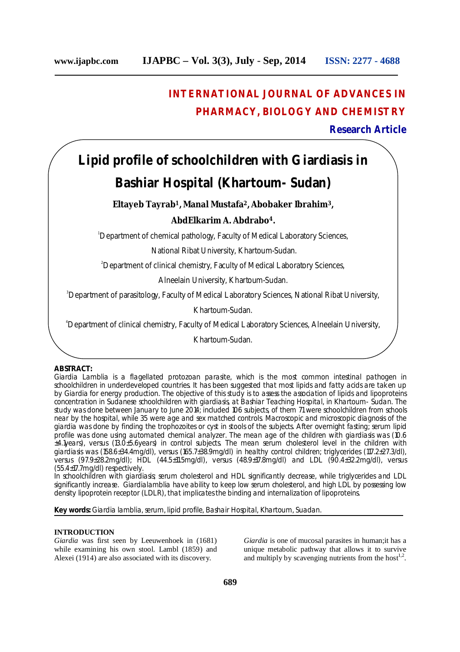## **INTERNATIONAL JOURNAL OF ADVANCES IN PHARMACY, BIOLOGY AND CHEMISTRY**

## **Research Article**

# **Lipid profile of schoolchildren with Giardiasis in Bashiar Hospital (Khartoum- Sudan)**

## **Eltayeb Tayrab<sup>1</sup>, Manal Mustafa<sup>2</sup>, Abobaker Ibrahim<sup>3</sup>,**

## **AbdElkarim A. Abdrabo4.**

<sup>1</sup>Department of chemical pathology, Faculty of Medical Laboratory Sciences,

National Ribat University, Khartoum-Sudan.

<sup>2</sup>Department of clinical chemistry, Faculty of Medical Laboratory Sciences,

Alneelain University, Khartoum-Sudan.

<sup>3</sup>Department of parasitology, Faculty of Medical Laboratory Sciences, National Ribat University,

Khartoum-Sudan.

<sup>4</sup>Department of clinical chemistry, Faculty of Medical Laboratory Sciences, Alneelain University,

Khartoum-Sudan.

## **ABSTRACT:**

*Giardia Lamblia* is a flagellated protozoan parasite, which is the most common intestinal pathogen in schoolchildren in underdeveloped countries. It has been suggested that most lipids and fatty acids are taken up by *Giardia* for energy production. The objective of this study is to assess the association of lipids and lipoproteins concentration in Sudanese schoolchildren with giardiasis, at Bashiar Teaching Hospital, in Khartoum- Sudan. The study was done between January to June 2014; included 106 subjects, of them 71 were schoolchildren from schools near by the hospital, while 35 were age and sex matched controls. Macroscopic and microscopic diagnosis of the giardia was done by finding the trophozoites or cyst in stools of the subjects. After overnight fasting; serum lipid profile was done using automated chemical analyzer. The mean age of the children with giardiasis was (10.6 ±4.1years), versus (13.0±5.6years) in control subjects. The mean serum cholesterol level in the children with giardiasis was (158.6±34.4mg/dl), versus (165.7±38.9mg/dl) in healthy control children; triglycerides (117.2±27.3/dl), versus (97.9±28.2mg/dl); HDL (44.5±11.5mg/dl), versus (48.9±17.8mg/dl) and LDL (90.4±32.2mg/dl), versus (55.4±17.7mg/dl) respectively.

In schoolchildren with giardiasis; serum cholesterol and HDL significantly decrease, while triglycerides and LDL significantly increase. *Giardialamblia* have ability to keep low serum cholesterol, and high LDL by possessing low density lipoprotein receptor (LDLR), that implicates the binding and internalization of lipoproteins.

**Key words:** *Giardia lamblia*, serum, lipid profile, Bashair Hospital, Khartoum, Suadan.

## **INTRODUCTION**

*Giardia* was first seen by Leeuwenhoek in (1681) while examining his own stool. Lambl (1859) and Alexei (1914) are also associated with its discovery.

*Giardia* is one of mucosal parasites in human;it has a unique metabolic pathway that allows it to survive and multiply by scavenging nutrients from the host<sup>1,2</sup>.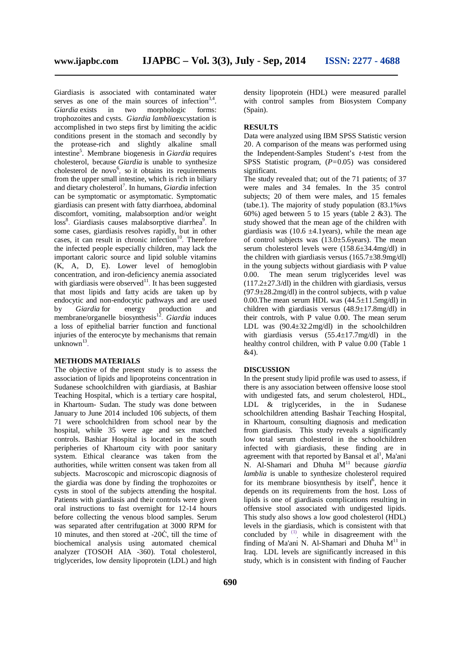Giardiasis is associated with contaminated water serves as one of the main sources of infection $3,4$ . *Giardia* exists in two morphologic forms: trophozoites and cysts. *Giardia lamblia*excystation is accomplished in two steps first by limiting the acidic conditions present in the stomach and secondly by the protease-rich and slightly alkaline small intestine 5 . Membrane biogenesis in *Giardia* requires cholesterol, because *Giardia* is unable to synthesize cholesterol de novo<sup>6</sup>, so it obtains its requirements from the upper small intestine, which is rich in biliary and dietary cholesterol 7 . In humans, *Giardia* infection can be symptomatic or asymptomatic. Symptomatic giardiasis can present with fatty diarrhoea, abdominal discomfort, vomiting, malabsorption and/or weight loss<sup>8</sup>. Giardiasis causes malabsorptive diarrhea<sup>9</sup>. In some cases, giardiasis resolves rapidly, but in other cases, it can result in chronic infection 10 . Therefore the infected people especially children, may lack the important caloric source and lipid soluble vitamins (K, A, D, E). Lower level of hemoglobin concentration, and iron-deficiency anemia associated with giardiasis were observed<sup>11</sup>. It has been suggested that most lipids and fatty acids are taken up by endocytic and non-endocytic pathways and are used by *Giardia* for energy production and membrane/organelle biosynthesis 12 . *Giardia* induces a loss of epithelial barrier function and functional injuries of the enterocyte by mechanisms that remain unknown<sup>13</sup>.

## **METHODS MATERIALS**

The objective of the present study is to assess the association of lipids and lipoproteins concentration in Sudanese schoolchildren with giardiasis, at Bashiar Teaching Hospital, which is a tertiary care hospital, in Khartoum- Sudan. The study was done between January to June 2014 included 106 subjects, of them 71 were schoolchildren from school near by the hospital, while 35 were age and sex matched controls. Bashiar Hospital is located in the south peripheries of Khartoum city with poor sanitary system. Ethical clearance was taken from the authorities, while written consent was taken from all subjects. Macroscopic and microscopic diagnosis of the giardia was done by finding the trophozoites or cysts in stool of the subjects attending the hospital. Patients with giardiasis and their controls were given oral instructions to fast overnight for 12-14 hours before collecting the venous blood samples. Serum was separated after centrifugation at 3000 RPM for 10 minutes, and then stored at -20Ċ, till the time of biochemical analysis using automated chemical analyzer (TOSOH AIA -360). Total cholesterol, triglycerides, low density lipoprotein (LDL) and high density lipoprotein (HDL) were measured parallel with control samples from Biosystem Company (Spain).

#### **RESULTS**

Data were analyzed using IBM SPSS Statistic version 20. A comparison of the means was performed using the Independent-Samples Student's *t*-test from the SPSS Statistic program, (*P=*0.05) was considered significant.

The study revealed that; out of the 71 patients; of 37 were males and 34 females. In the 35 control subjects; 20 of them were males, and 15 females (tabe.1). The majority of study population (83.1%vs 60%) aged between 5 to 15 years (table 2 &3). The study showed that the mean age of the children with giardiasis was  $(10.6 \pm 4.1)$ years), while the mean age of control subjects was  $(13.0 \pm 5.6$ years). The mean serum cholesterol levels were (158.6±34.4mg/dl) in the children with giardiasis versus  $(165.7\pm38.9 \text{mg/dl})$ in the young subjects without giardiasis with P value<br>0.00. The mean serum triglycerides level was The mean serum triglycerides level was  $(117.2 \pm 27.3/d)$  in the children with giardiasis, versus  $(97.9 \pm 28.2 \text{mg/dl})$  in the control subjects, with p value 0.00.The mean serum HDL was  $(44.5 \pm 11.5 \text{mg/dl})$  in children with giardiasis versus  $(48.9 \pm 17.8 \text{mg/dl})$  in their controls, with P value 0.00. The mean serum LDL was (90.4±32.2mg/dl) in the schoolchildren with giardiasis versus  $(55.4 \pm 17.7 \text{mg/dl})$  in the healthy control children, with P value 0.00 (Table 1 &4).

## **DISCUSSION**

In the present study lipid profile was used to assess, if there is any association between offensive loose stool with undigested fats, and serum cholesterol, HDL, LDL & triglycerides, in the in Sudanese schoolchildren attending Bashair Teaching Hospital, in Khartoum, consulting diagnosis and medication from giardiasis. This study reveals a significantly low total serum cholesterol in the schoolchildren infected with giardiasis, these finding are in agreement with that reported by Bansal et al<sup>1</sup>, Ma'ani N. Al-Shamari and Dhuha M<sup>11</sup> because *giardia lamblia* is unable to synthesize cholesterol required for its membrane biosynthesis by itself 6 , hence it depends on its requirements from the host. Loss of lipids is one of giardiasis complications resulting in offensive stool associated with undigested lipids. This study also shows a low good cholesterol (HDL) levels in the giardiasis, which is consistent with that concluded by  $(1)$  while in disagreement with the finding of Ma'ani N. Al-Shamari and Dhuha  $M^{11}$  in Iraq. LDL levels are significantly increased in this study, which is in consistent with finding of Faucher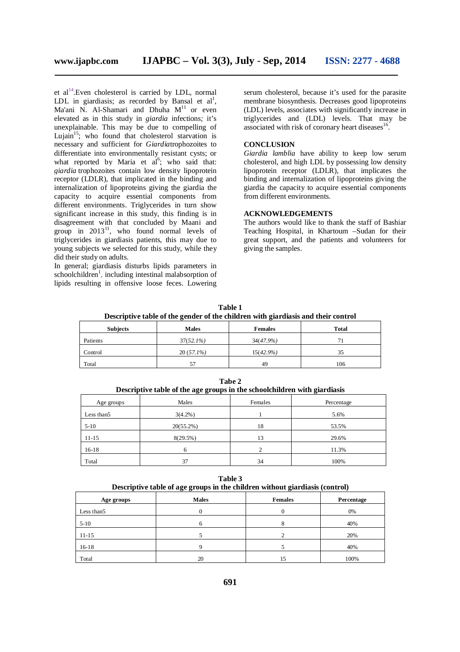et al<sup>14</sup>. Even cholesterol is carried by LDL, normal LDL in giardiasis; as recorded by Bansal et  $al<sup>1</sup>$ , Ma'ani N. Al-Shamari and Dhuha  $M<sup>11</sup>$  or even elevated as in this study in *giardia* infections*;* it's unexplainable. This may be due to compelling of Lujain<sup>15</sup>; who found that cholesterol starvation is necessary and sufficient for *Giardia*trophozoites to differentiate into environmentally resistant cysts; or what reported by Maria et al<sup>6</sup>; who said that: *giardia* trophozoites contain low density lipoprotein receptor (LDLR), that implicated in the binding and internalization of lipoproteins giving the giardia the capacity to acquire essential components from different environments. Triglycerides in turn show significant increase in this study, this finding is in disagreement with that concluded by Maani and group in 2013<sup>11</sup>, who found normal levels of triglycerides in giardiasis patients, this may due to young subjects we selected for this study, while they did their study on adults.

In general; giardiasis disturbs lipids parameters in schoolchildren 1 , including intestinal malabsorption of lipids resulting in offensive loose feces. Lowering serum cholesterol, because it's used for the parasite membrane biosynthesis. Decreases good lipoproteins (LDL) levels, associates with significantly increase in triglycerides and (LDL) levels. That may be associated with risk of coronary heart diseases<sup>16</sup>.

## **CONCLUSION**

*Giardia lamblia* have ability to keep low serum cholesterol, and high LDL by possessing low density lipoprotein receptor (LDLR), that implicates the binding and internalization of lipoproteins giving the giardia the capacity to acquire essential components from different environments.

#### **ACKNOWLEDGEMENTS**

The authors would like to thank the staff of Bashiar Teaching Hospital, in Khartoum –Sudan for their great support, and the patients and volunteers for giving the samples.

**Table 1 Descriptive table of the gender of the children with giardiasis and their control**

| <b>Subjects</b> | -<br><b>Males</b> | -<br><b>Females</b> | <b>Total</b> |
|-----------------|-------------------|---------------------|--------------|
| Patients        | $37(52.1\%)$      | $34(47.9\%)$        | 71           |
| Control         | $20(57.1\%)$      | $15(42.9\%)$        | 35           |
| Total           | 57                | 49                  | 106          |

**Tabe 2 Descriptive table of the age groups in the schoolchildren with giardiasis**

| Age groups  | Males        | Females | Percentage |
|-------------|--------------|---------|------------|
| Less than 5 | $3(4.2\%)$   |         | 5.6%       |
| $5-10$      | $20(55.2\%)$ | 18      | 53.5%      |
| $11 - 15$   | 8(29.5%)     | 13      | 29.6%      |
| $16-18$     |              |         | 11.3%      |
| Total       | 37           | 34      | 100%       |

**Table 3 Descriptive table of age groups in the children without giardiasis (control)**

| Age groups  | <b>Males</b> | <b>Females</b> | Percentage |
|-------------|--------------|----------------|------------|
| Less than 5 |              |                | 0%         |
| $5-10$      | O            | o<br>Ō         | 40%        |
| $11 - 15$   |              |                | 20%        |
| $16 - 18$   |              |                | 40%        |
| Total       | 20           | 15             | 100%       |